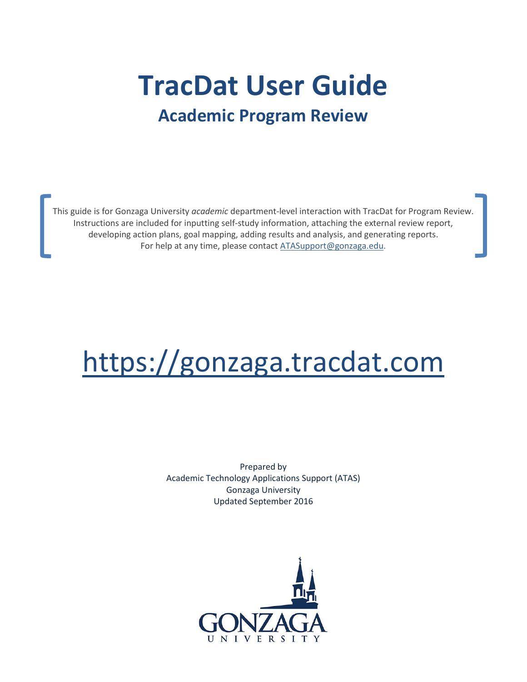# **TracDat User Guide Academic Program Review**

This guide is for Gonzaga University *academic* department-level interaction with TracDat for Program Review. Instructions are included for inputting self-study information, attaching the external review report, developing action plans, goal mapping, adding results and analysis, and generating reports. For help at any time, please contac[t ATASupport@gonzaga.edu.](mailto:ATASupport@gonzaga.edu)

# [https://gonzaga.tracdat.com](https://gonzaga.tracdat.com/)

Prepared by Academic Technology Applications Support (ATAS) Gonzaga University Updated September 2016

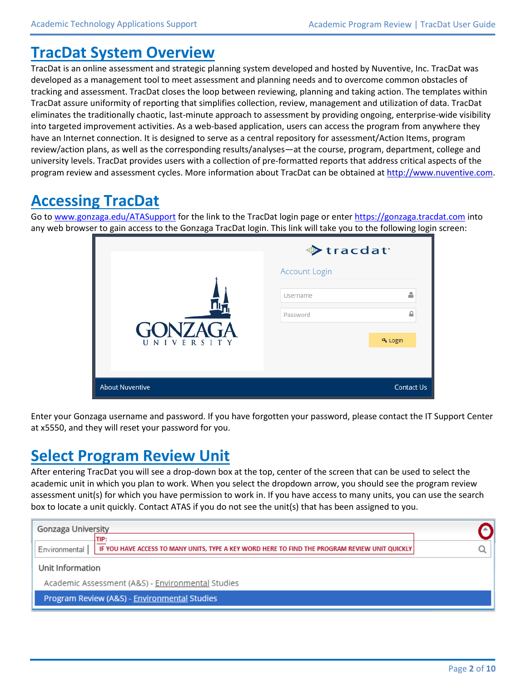### **TracDat System Overview**

TracDat is an online assessment and strategic planning system developed and hosted by Nuventive, Inc. TracDat was developed as a management tool to meet assessment and planning needs and to overcome common obstacles of tracking and assessment. TracDat closes the loop between reviewing, planning and taking action. The templates within TracDat assure uniformity of reporting that simplifies collection, review, management and utilization of data. TracDat eliminates the traditionally chaotic, last-minute approach to assessment by providing ongoing, enterprise-wide visibility into targeted improvement activities. As a web-based application, users can access the program from anywhere they have an Internet connection. It is designed to serve as a central repository for assessment/Action Items, program review/action plans, as well as the corresponding results/analyses—at the course, program, department, college and university levels. TracDat provides users with a collection of pre-formatted reports that address critical aspects of the program review and assessment cycles. More information about TracDat can be obtained a[t http://www.nuventive.com.](http://www.nuventive.com/)

# **Accessing TracDat**

Go to [www.gonzaga.edu/ATASupport](http://www.gonzaga.edu/ATASupport) for the link to the TracDat login page or enter [https://gonzaga.tracdat.com](https://gonzaga.tracdat.com/) into any web browser to gain access to the Gonzaga TracDat login. This link will take you to the following login screen:

|                              | ◆ tracdat <sup>®</sup> |                      |
|------------------------------|------------------------|----------------------|
|                              | <b>Account Login</b>   |                      |
|                              | <b>Username</b>        | д                    |
|                              | Password               | Α                    |
| <b>GONZAGA</b><br>UNIVERSITY |                        | Q <sub>t</sub> Login |
|                              |                        |                      |
| <b>About Nuventive</b>       |                        | <b>Contact Us</b>    |

Enter your Gonzaga username and password. If you have forgotten your password, please contact the IT Support Center at x5550, and they will reset your password for you.

### **Select Program Review Unit**

After entering TracDat you will see a drop-down box at the top, center of the screen that can be used to select the academic unit in which you plan to work. When you select the dropdown arrow, you should see the program review assessment unit(s) for which you have permission to work in. If you have access to many units, you can use the search box to locate a unit quickly. Contact ATAS if you do not see the unit(s) that has been assigned to you.

| Gonzaga University                                                                                                      |  |
|-------------------------------------------------------------------------------------------------------------------------|--|
| TIP:<br>IF YOU HAVE ACCESS TO MANY UNITS, TYPE A KEY WORD HERE TO FIND THE PROGRAM REVIEW UNIT QUICKLY<br>Environmental |  |
| Unit Information                                                                                                        |  |
| Academic Assessment (A&S) - Environmental Studies                                                                       |  |
| Program Review (A&S) - Environmental Studies                                                                            |  |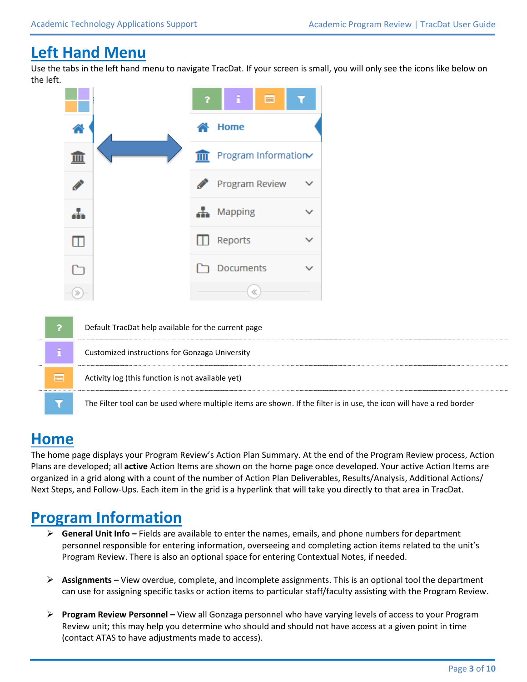## **Left Hand Menu**

Use the tabs in the left hand menu to navigate TracDat. If your screen is small, you will only see the icons like below on the left.



|   | Default TracDat help available for the current page                                                                  |
|---|----------------------------------------------------------------------------------------------------------------------|
|   | Customized instructions for Gonzaga University                                                                       |
| E | Activity log (this function is not available yet)                                                                    |
|   | The Filter tool can be used where multiple items are shown. If the filter is in use, the icon will have a red border |

# **Home**

The home page displays your Program Review's Action Plan Summary. At the end of the Program Review process, Action Plans are developed; all **active** Action Items are shown on the home page once developed. Your active Action Items are organized in a grid along with a count of the number of Action Plan Deliverables, Results/Analysis, Additional Actions/ Next Steps, and Follow-Ups. Each item in the grid is a hyperlink that will take you directly to that area in TracDat.

### **Program Information**

- **General Unit Info –** Fields are available to enter the names, emails, and phone numbers for department personnel responsible for entering information, overseeing and completing action items related to the unit's Program Review. There is also an optional space for entering Contextual Notes, if needed.
- **Assignments –** View overdue, complete, and incomplete assignments. This is an optional tool the department can use for assigning specific tasks or action items to particular staff/faculty assisting with the Program Review.
- **Program Review Personnel –** View all Gonzaga personnel who have varying levels of access to your Program Review unit; this may help you determine who should and should not have access at a given point in time (contact ATAS to have adjustments made to access).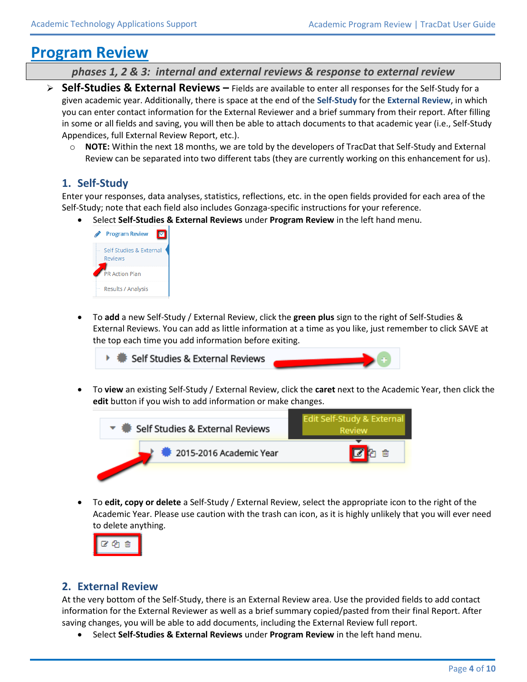### **Program Review**

*phases 1, 2 & 3: internal and external reviews & response to external review*

- **Self-Studies & External Reviews –** Fields are available to enter all responses for the Self-Study for a given academic year. Additionally, there is space at the end of the **Self-Study** for the **External Review**, in which you can enter contact information for the External Reviewer and a brief summary from their report. After filling in some or all fields and saving, you will then be able to attach documents to that academic year (i.e., Self-Study Appendices, full External Review Report, etc.).
	- o **NOTE:** Within the next 18 months, we are told by the developers of TracDat that Self-Study and External Review can be separated into two different tabs (they are currently working on this enhancement for us).

### **1. Self-Study**

Enter your responses, data analyses, statistics, reflections, etc. in the open fields provided for each area of the Self-Study; note that each field also includes Gonzaga-specific instructions for your reference.

Select **Self-Studies & External Reviews** under **Program Review** in the left hand menu.



 To **add** a new Self-Study / External Review, click the **green plus** sign to the right of Self-Studies & External Reviews. You can add as little information at a time as you like, just remember to click SAVE at the top each time you add information before exiting.



 To **view** an existing Self-Study / External Review, click the **caret** next to the Academic Year, then click the **edit** button if you wish to add information or make changes.



 To **edit, copy or delete** a Self-Study / External Review, select the appropriate icon to the right of the Academic Year. Please use caution with the trash can icon, as it is highly unlikely that you will ever need to delete anything.



#### **2. External Review**

At the very bottom of the Self-Study, there is an External Review area. Use the provided fields to add contact information for the External Reviewer as well as a brief summary copied/pasted from their final Report. After saving changes, you will be able to add documents, including the External Review full report.

Select **Self-Studies & External Reviews** under **Program Review** in the left hand menu.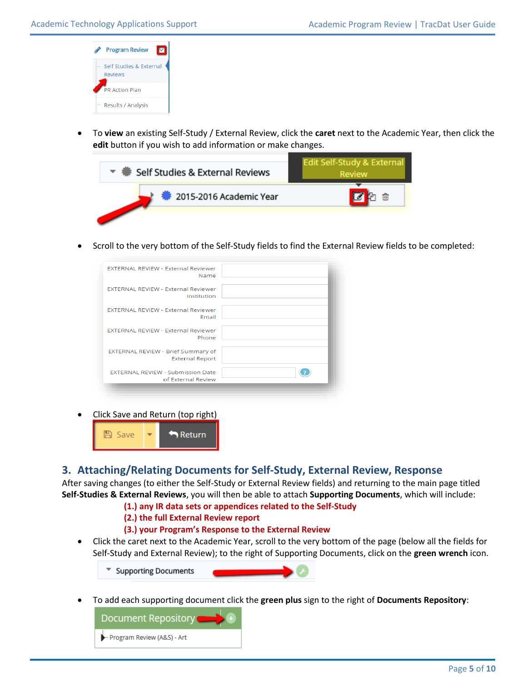| <b>Program Review</b>                     |
|-------------------------------------------|
| Self Studies & External<br><b>Reviews</b> |
| <b>PR Action Plan</b>                     |
| Results / Analysis                        |

 To **view** an existing Self-Study / External Review, click the **caret** next to the Academic Year, then click the **edit** button if you wish to add information or make changes.



Scroll to the very bottom of the Self-Study fields to find the External Review fields to be completed:

| <b>FXTERNAL REVIEW - External Reviewer</b><br>Name             |  |
|----------------------------------------------------------------|--|
| <b>EXTERNAL REVIEW - External Reviewer</b><br>Institution      |  |
| <b>FXTERNAL REVIEW - External Reviewer</b><br>Email            |  |
| <b>EXTERNAL REVIEW - External Reviewer</b><br>Phone            |  |
| EXTERNAL REVIEW - Brief Summary of<br><b>External Report</b>   |  |
| <b>EXTERNAL REVIEW - Submission Date</b><br>of External Review |  |
|                                                                |  |

Click Save and Return (top right)



#### **3. Attaching/Relating Documents for Self-Study, External Review, Response**

After saving changes (to either the Self-Study or External Review fields) and returning to the main page titled **Self-Studies & External Reviews**, you will then be able to attach **Supporting Documents**, which will include:

#### **(1.) any IR data sets or appendices related to the Self-Study**

#### **(2.) the full External Review report**

#### **(3.) your Program's Response to the External Review**

 Click the caret next to the Academic Year, scroll to the very bottom of the page (below all the fields for Self-Study and External Review); to the right of Supporting Documents, click on the **green wrench** icon.

**Supporting Documents** 

To add each supporting document click the **green plus** sign to the right of **Documents Repository**:

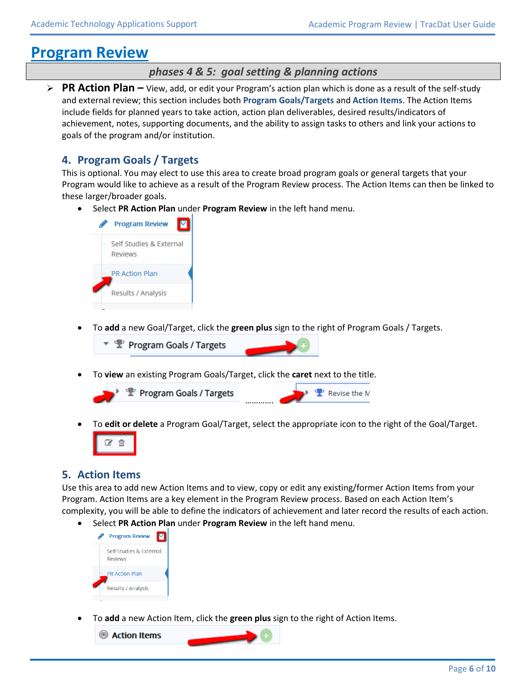# **Program Review**

#### *phases 4 & 5: goal setting & planning actions*

 **PR Action Plan –** View, add, or edit your Program's action plan which is done as a result of the self-study and external review; this section includes both **Program Goals/Targets** and **Action Items**. The Action Items include fields for planned years to take action, action plan deliverables, desired results/indicators of achievement, notes, supporting documents, and the ability to assign tasks to others and link your actions to goals of the program and/or institution.

#### **4. Program Goals / Targets**

This is optional. You may elect to use this area to create broad program goals or general targets that your Program would like to achieve as a result of the Program Review process. The Action Items can then be linked to these larger/broader goals.

Select **PR Action Plan** under **Program Review** in the left hand menu.



To **add** a new Goal/Target, click the **green plus** sign to the right of Program Goals / Targets.



To **view** an existing Program Goals/Target, click the **caret** next to the title.



To **edit or delete** a Program Goal/Target, select the appropriate icon to the right of the Goal/Target.



#### **5. Action Items**

Use this area to add new Action Items and to view, copy or edit any existing/former Action Items from your Program. Action Items are a key element in the Program Review process. Based on each Action Item's complexity, you will be able to define the indicators of achievement and later record the results of each action.

Select **PR Action Plan** under **Program Review** in the left hand menu.



To **add** a new Action Item, click the **green plus** sign to the right of Action Items.

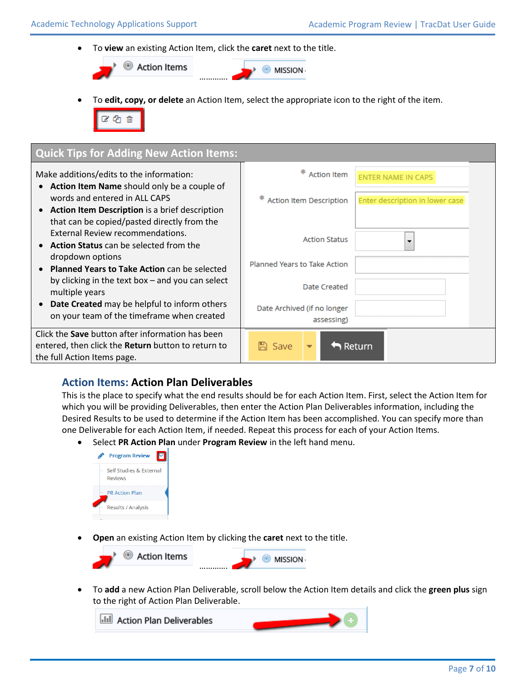To **view** an existing Action Item, click the **caret** next to the title.



To **edit, copy, or delete** an Action Item, select the appropriate icon to the right of the item.

ピむ自

| <b>Quick Tips for Adding New Action Items:</b>                                                  |                                |                                 |
|-------------------------------------------------------------------------------------------------|--------------------------------|---------------------------------|
| Make additions/edits to the information:                                                        | <b>Action Item</b>             | <b>ENTER NAME IN CAPS</b>       |
| Action Item Name should only be a couple of                                                     |                                |                                 |
| words and entered in ALL CAPS                                                                   | <b>Action Item Description</b> | Enter description in lower case |
| • Action Item Description is a brief description<br>that can be copied/pasted directly from the |                                |                                 |
| External Review recommendations.                                                                | <b>Action Status</b>           |                                 |
| <b>Action Status</b> can be selected from the                                                   |                                |                                 |
| dropdown options<br><b>Planned Years to Take Action can be selected</b>                         | Planned Years to Take Action   |                                 |
| by clicking in the text box $-$ and you can select                                              |                                |                                 |
| multiple years                                                                                  | Date Created                   |                                 |
| Date Created may be helpful to inform others                                                    | Date Archived (if no longer    |                                 |
| on your team of the timeframe when created                                                      | assessing)                     |                                 |
| Click the <b>Save</b> button after information has been                                         |                                |                                 |
| entered, then click the <b>Return</b> button to return to                                       | Return<br>Save                 |                                 |
| the full Action Items page.                                                                     |                                |                                 |

#### **Action Items: Action Plan Deliverables**

This is the place to specify what the end results should be for each Action Item. First, select the Action Item for which you will be providing Deliverables, then enter the Action Plan Deliverables information, including the Desired Results to be used to determine if the Action Item has been accomplished. You can specify more than one Deliverable for each Action Item, if needed. Repeat this process for each of your Action Items.

Select **PR Action Plan** under **Program Review** in the left hand menu.



**Open** an existing Action Item by clicking the **caret** next to the title.



 To **add** a new Action Plan Deliverable, scroll below the Action Item details and click the **green plus** sign to the right of Action Plan Deliverable.

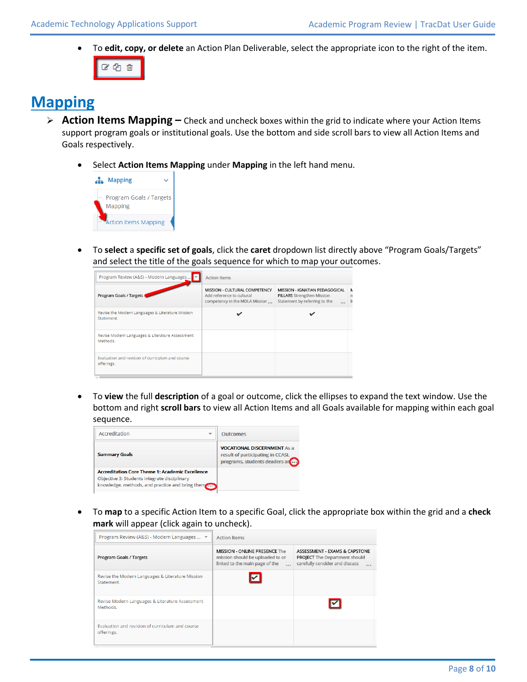To **edit, copy, or delete** an Action Plan Deliverable, select the appropriate icon to the right of the item.



# **Mapping**

- **Action Items Mapping –** Check and uncheck boxes within the grid to indicate where your Action Items support program goals or institutional goals. Use the bottom and side scroll bars to view all Action Items and Goals respectively.
	- Select **Action Items Mapping** under **Mapping** in the left hand menu.



 To **select** a **specific set of goals**, click the **caret** dropdown list directly above "Program Goals/Targets" and select the title of the goals sequence for which to map your outcomes.

| Program Review (A&S) - Modern Languages                        | <b>Action Items</b>                                                                          |                                                                                                                  |   |
|----------------------------------------------------------------|----------------------------------------------------------------------------------------------|------------------------------------------------------------------------------------------------------------------|---|
| Program Goals / Targets                                        | MISSION - CULTURAL COMPETENCY<br>Add reference to cultural<br>competency in the MDLA Mission | MISSION - IGNATIAN PEDAGOGICAL<br><b>PILLARS</b> Strengthen Mission<br>Statement by referring to the<br>$\cdots$ | Ν |
| Revise the Modern Languages & Literature Mission<br>Statement. |                                                                                              |                                                                                                                  |   |
| Revise Modern Languages & Literature Assessment<br>Methods.    |                                                                                              |                                                                                                                  |   |
| Evaluation and revision of curriculum and course<br>offerings. |                                                                                              |                                                                                                                  |   |

 To **view** the full **description** of a goal or outcome, click the ellipses to expand the text window. Use the bottom and right **scroll bars** to view all Action Items and all Goals available for mapping within each goal sequence.

| ---------                                                                                                                                                 |                                                                                                             |
|-----------------------------------------------------------------------------------------------------------------------------------------------------------|-------------------------------------------------------------------------------------------------------------|
| Accreditation<br>÷                                                                                                                                        | <b>Outcomes</b>                                                                                             |
| <b>Summary Goals</b>                                                                                                                                      | <b>VOCATIONAL DISCERNMENT As a</b><br>result of participating in CCASL<br>programs, students (leaders are ) |
| <b>Accreditation Core Theme 1: Academic Excellence</b><br>Objective 3: Students integrate disciplinary<br>knowledge, methods, and practice and bring them |                                                                                                             |

 To **map** to a specific Action Item to a specific Goal, click the appropriate box within the grid and a **check mark** will appear (click again to uncheck).

| Program Review (A&S) - Modern Languages  ▼                     | <b>Action Items</b>                                                                                                    |                                                                                                                     |
|----------------------------------------------------------------|------------------------------------------------------------------------------------------------------------------------|---------------------------------------------------------------------------------------------------------------------|
| Program Goals / Targets                                        | <b>MISSION - ONLINE PRESENCE The</b><br>mission should be uploaded to or<br>linked to the main page of the<br>$\cdots$ | ASSESSMENT - EXAMS & CAPSTONE<br><b>PROJECT</b> The Department should<br>carefully consider and discuss<br>$\cdots$ |
| Revise the Modern Languages & Literature Mission<br>Statement. |                                                                                                                        |                                                                                                                     |
| Revise Modern Languages & Literature Assessment<br>Methods.    |                                                                                                                        |                                                                                                                     |
| Evaluation and revision of curriculum and course<br>offerings. |                                                                                                                        |                                                                                                                     |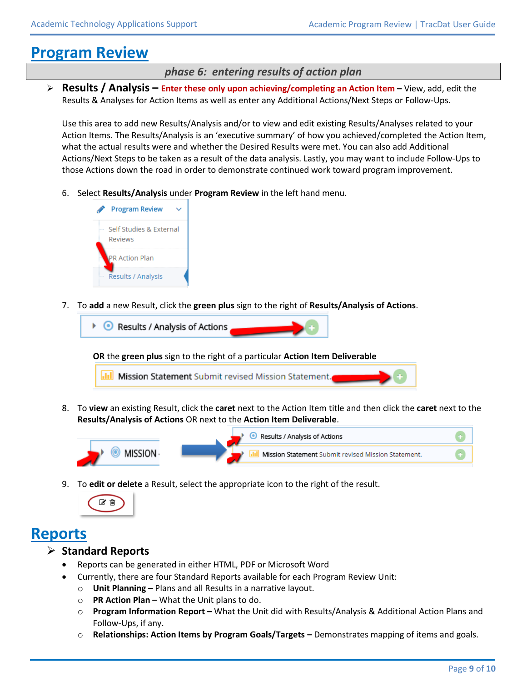# **Program Review**

#### *phase 6: entering results of action plan*

**Results / Analysis – Enter these only upon achieving/completing an Action Item – View, add, edit the** Results & Analyses for Action Items as well as enter any Additional Actions/Next Steps or Follow-Ups.

Use this area to add new Results/Analysis and/or to view and edit existing Results/Analyses related to your Action Items. The Results/Analysis is an 'executive summary' of how you achieved/completed the Action Item, what the actual results were and whether the Desired Results were met. You can also add Additional Actions/Next Steps to be taken as a result of the data analysis. Lastly, you may want to include Follow-Ups to those Actions down the road in order to demonstrate continued work toward program improvement.

6. Select **Results/Analysis** under **Program Review** in the left hand menu.



7. To **add** a new Result, click the **green plus** sign to the right of **Results/Analysis of Actions**.



8. To **view** an existing Result, click the **caret** next to the Action Item title and then click the **caret** next to the **Results/Analysis of Actions** OR next to the **Action Item Deliverable**.



9. To **edit or delete** a Result, select the appropriate icon to the right of the result.



### **Reports**

#### **Standard Reports**

- Reports can be generated in either HTML, PDF or Microsoft Word
- Currently, there are four Standard Reports available for each Program Review Unit:
	- o **Unit Planning –** Plans and all Results in a narrative layout.
	- o **PR Action Plan –** What the Unit plans to do.
	- o **Program Information Report –** What the Unit did with Results/Analysis & Additional Action Plans and Follow-Ups, if any.
	- o **Relationships: Action Items by Program Goals/Targets –** Demonstrates mapping of items and goals.